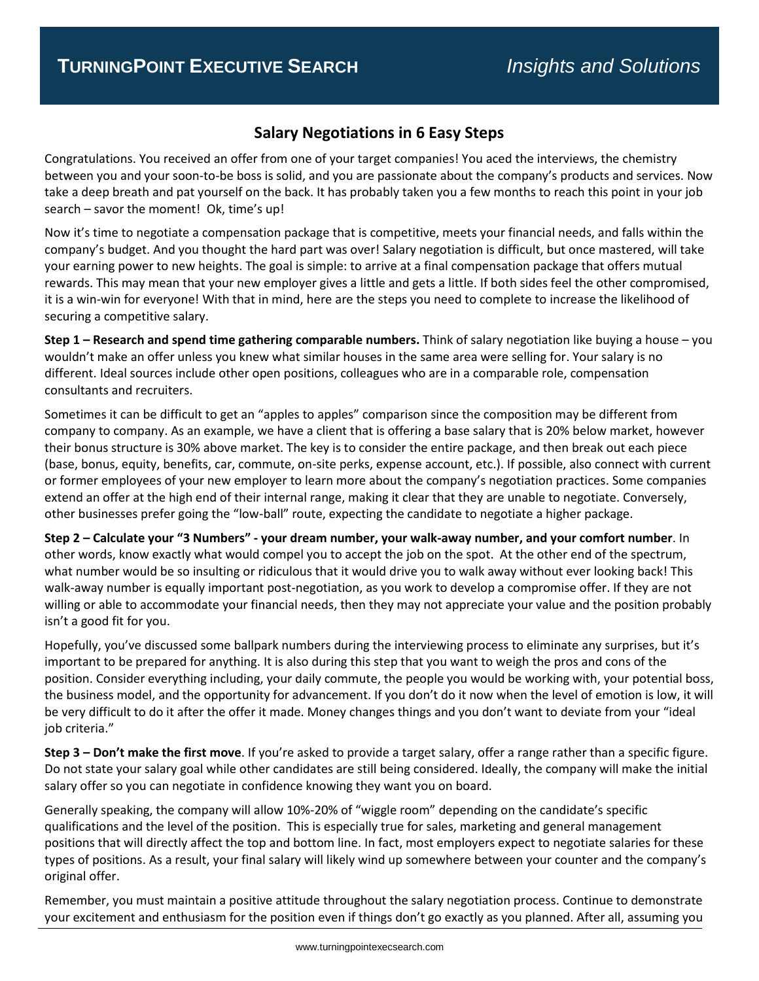## **Salary Negotiations in 6 Easy Steps**

Congratulations. You received an offer from one of your target companies! You aced the interviews, the chemistry between you and your soon-to-be boss is solid, and you are passionate about the company's products and services. Now take a deep breath and pat yourself on the back. It has probably taken you a few months to reach this point in your job search – savor the moment! Ok, time's up!

Now it's time to negotiate a compensation package that is competitive, meets your financial needs, and falls within the company's budget. And you thought the hard part was over! Salary negotiation is difficult, but once mastered, will take your earning power to new heights. The goal is simple: to arrive at a final compensation package that offers mutual rewards. This may mean that your new employer gives a little and gets a little. If both sides feel the other compromised, it is a win-win for everyone! With that in mind, here are the steps you need to complete to increase the likelihood of securing a competitive salary.

**Step 1 – Research and spend time gathering comparable numbers.** Think of salary negotiation like buying a house – you wouldn't make an offer unless you knew what similar houses in the same area were selling for. Your salary is no different. Ideal sources include other open positions, colleagues who are in a comparable role, compensation consultants and recruiters.

Sometimes it can be difficult to get an "apples to apples" comparison since the composition may be different from company to company. As an example, we have a client that is offering a base salary that is 20% below market, however their bonus structure is 30% above market. The key is to consider the entire package, and then break out each piece (base, bonus, equity, benefits, car, commute, on-site perks, expense account, etc.). If possible, also connect with current or former employees of your new employer to learn more about the company's negotiation practices. Some companies extend an offer at the high end of their internal range, making it clear that they are unable to negotiate. Conversely, other businesses prefer going the "low-ball" route, expecting the candidate to negotiate a higher package.

**Step 2 – Calculate your "3 Numbers" - your dream number, your walk-away number, and your comfort number**. In other words, know exactly what would compel you to accept the job on the spot. At the other end of the spectrum, what number would be so insulting or ridiculous that it would drive you to walk away without ever looking back! This walk-away number is equally important post-negotiation, as you work to develop a compromise offer. If they are not willing or able to accommodate your financial needs, then they may not appreciate your value and the position probably isn't a good fit for you.

Hopefully, you've discussed some ballpark numbers during the interviewing process to eliminate any surprises, but it's important to be prepared for anything. It is also during this step that you want to weigh the pros and cons of the position. Consider everything including, your daily commute, the people you would be working with, your potential boss, the business model, and the opportunity for advancement. If you don't do it now when the level of emotion is low, it will be very difficult to do it after the offer it made. Money changes things and you don't want to deviate from your "ideal job criteria."

**Step 3 – Don't make the first move**. If you're asked to provide a target salary, offer a range rather than a specific figure. Do not state your salary goal while other candidates are still being considered. Ideally, the company will make the initial salary offer so you can negotiate in confidence knowing they want you on board.

Generally speaking, the company will allow 10%-20% of "wiggle room" depending on the candidate's specific qualifications and the level of the position. This is especially true for sales, marketing and general management positions that will directly affect the top and bottom line. In fact, most employers expect to negotiate salaries for these types of positions. As a result, your final salary will likely wind up somewhere between your counter and the company's original offer.

Remember, you must maintain a positive attitude throughout the salary negotiation process. Continue to demonstrate your excitement and enthusiasm for the position even if things don't go exactly as you planned. After all, assuming you